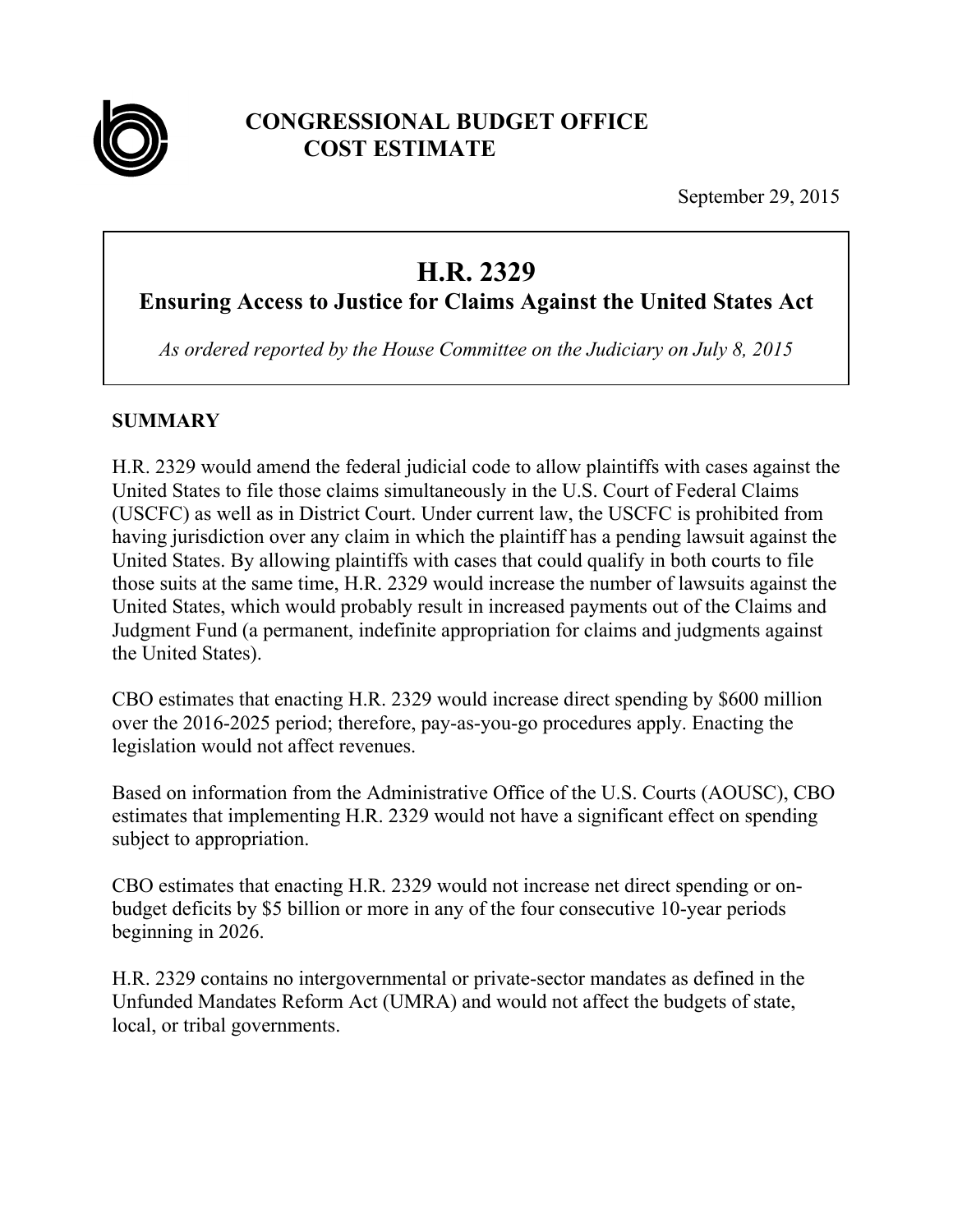

## **CONGRESSIONAL BUDGET OFFICE COST ESTIMATE**

September 29, 2015

# **H.R. 2329**

**Ensuring Access to Justice for Claims Against the United States Act** 

*As ordered reported by the House Committee on the Judiciary on July 8, 2015* 

### **SUMMARY**

H.R. 2329 would amend the federal judicial code to allow plaintiffs with cases against the United States to file those claims simultaneously in the U.S. Court of Federal Claims (USCFC) as well as in District Court. Under current law, the USCFC is prohibited from having jurisdiction over any claim in which the plaintiff has a pending lawsuit against the United States. By allowing plaintiffs with cases that could qualify in both courts to file those suits at the same time, H.R. 2329 would increase the number of lawsuits against the United States, which would probably result in increased payments out of the Claims and Judgment Fund (a permanent, indefinite appropriation for claims and judgments against the United States).

CBO estimates that enacting H.R. 2329 would increase direct spending by \$600 million over the 2016-2025 period; therefore, pay-as-you-go procedures apply. Enacting the legislation would not affect revenues.

Based on information from the Administrative Office of the U.S. Courts (AOUSC), CBO estimates that implementing H.R. 2329 would not have a significant effect on spending subject to appropriation.

CBO estimates that enacting H.R. 2329 would not increase net direct spending or onbudget deficits by \$5 billion or more in any of the four consecutive 10-year periods beginning in 2026.

H.R. 2329 contains no intergovernmental or private-sector mandates as defined in the Unfunded Mandates Reform Act (UMRA) and would not affect the budgets of state, local, or tribal governments.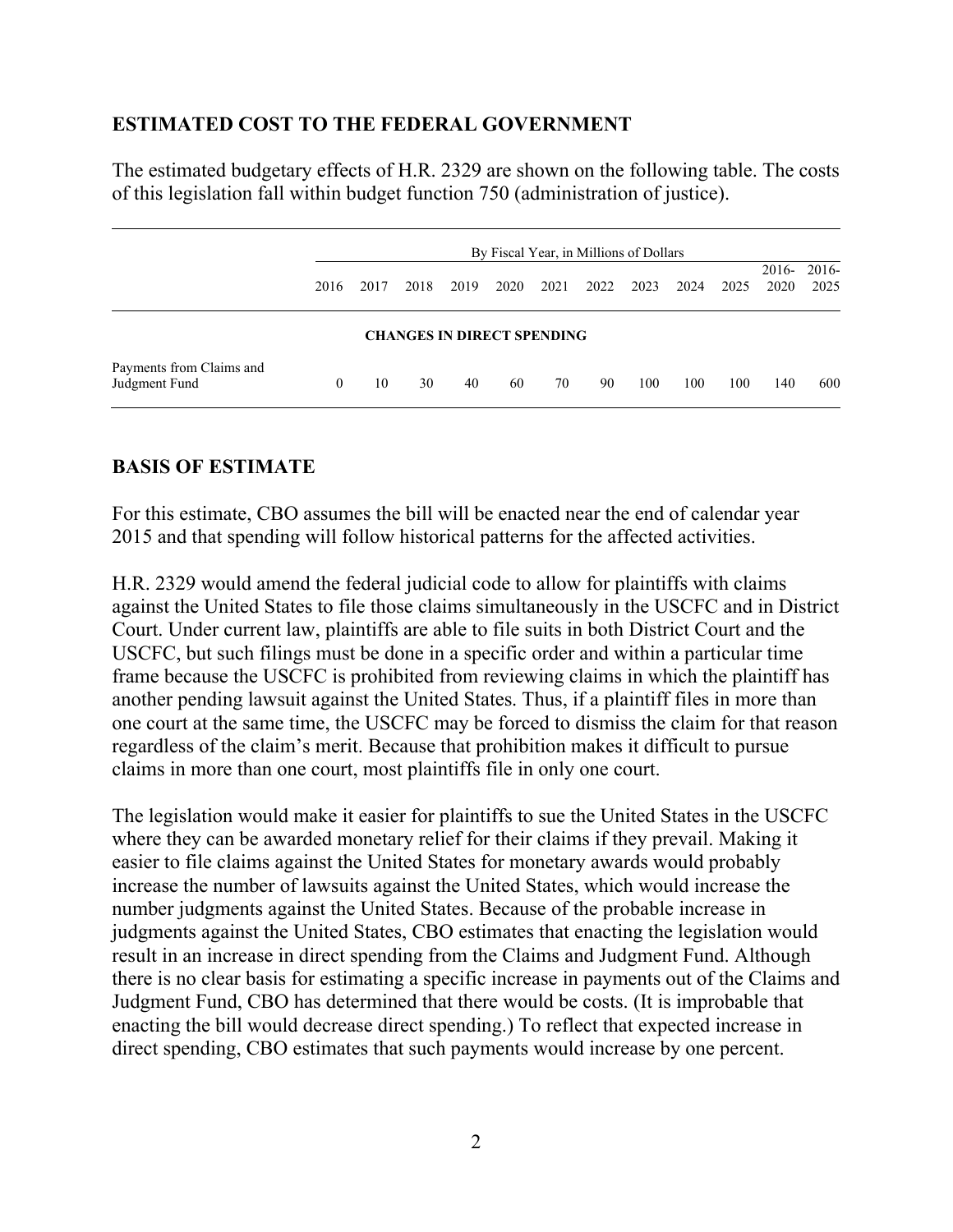#### **ESTIMATED COST TO THE FEDERAL GOVERNMENT**

The estimated budgetary effects of H.R. 2329 are shown on the following table. The costs of this legislation fall within budget function 750 (administration of justice).

|                                           | By Fiscal Year, in Millions of Dollars |      |      |                                   |      |      |      |      |      |      |                 |               |
|-------------------------------------------|----------------------------------------|------|------|-----------------------------------|------|------|------|------|------|------|-----------------|---------------|
|                                           | 2016                                   | 2017 | 2018 | 2019                              | 2020 | 2021 | 2022 | 2023 | 2024 | 2025 | $2016-$<br>2020 | 2016-<br>2025 |
|                                           |                                        |      |      | <b>CHANGES IN DIRECT SPENDING</b> |      |      |      |      |      |      |                 |               |
| Payments from Claims and<br>Judgment Fund | 0                                      | 10   | 30   | 40                                | 60   | 70   | 90   | 100  | 100  | 100  | 140             | 600           |

#### **BASIS OF ESTIMATE**

For this estimate, CBO assumes the bill will be enacted near the end of calendar year 2015 and that spending will follow historical patterns for the affected activities.

H.R. 2329 would amend the federal judicial code to allow for plaintiffs with claims against the United States to file those claims simultaneously in the USCFC and in District Court. Under current law, plaintiffs are able to file suits in both District Court and the USCFC, but such filings must be done in a specific order and within a particular time frame because the USCFC is prohibited from reviewing claims in which the plaintiff has another pending lawsuit against the United States. Thus, if a plaintiff files in more than one court at the same time, the USCFC may be forced to dismiss the claim for that reason regardless of the claim's merit. Because that prohibition makes it difficult to pursue claims in more than one court, most plaintiffs file in only one court.

The legislation would make it easier for plaintiffs to sue the United States in the USCFC where they can be awarded monetary relief for their claims if they prevail. Making it easier to file claims against the United States for monetary awards would probably increase the number of lawsuits against the United States, which would increase the number judgments against the United States. Because of the probable increase in judgments against the United States, CBO estimates that enacting the legislation would result in an increase in direct spending from the Claims and Judgment Fund. Although there is no clear basis for estimating a specific increase in payments out of the Claims and Judgment Fund, CBO has determined that there would be costs. (It is improbable that enacting the bill would decrease direct spending.) To reflect that expected increase in direct spending, CBO estimates that such payments would increase by one percent.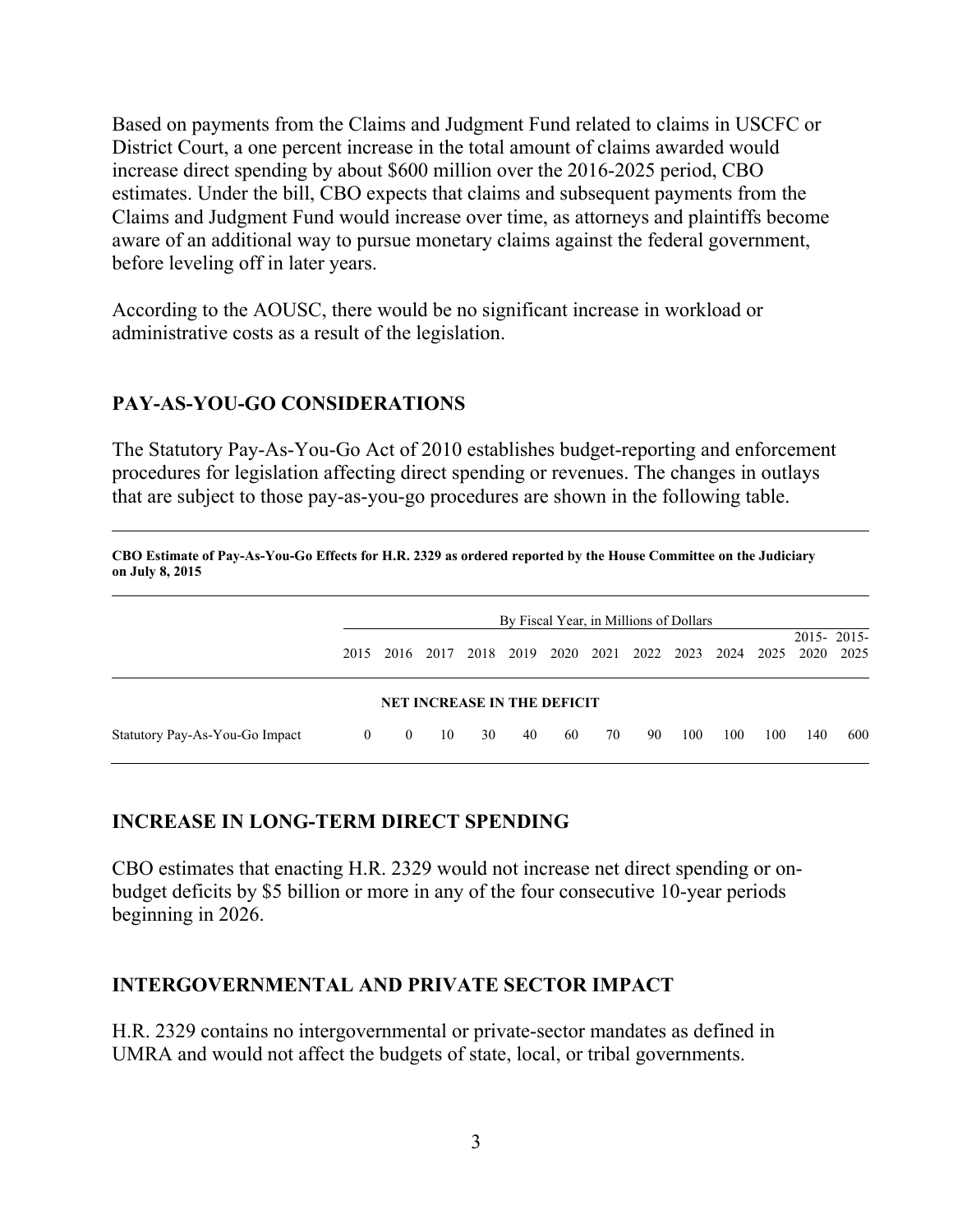Based on payments from the Claims and Judgment Fund related to claims in USCFC or District Court, a one percent increase in the total amount of claims awarded would increase direct spending by about \$600 million over the 2016-2025 period, CBO estimates. Under the bill, CBO expects that claims and subsequent payments from the Claims and Judgment Fund would increase over time, as attorneys and plaintiffs become aware of an additional way to pursue monetary claims against the federal government, before leveling off in later years.

According to the AOUSC, there would be no significant increase in workload or administrative costs as a result of the legislation.

#### **PAY-AS-YOU-GO CONSIDERATIONS**

The Statutory Pay-As-You-Go Act of 2010 establishes budget-reporting and enforcement procedures for legislation affecting direct spending or revenues. The changes in outlays that are subject to those pay-as-you-go procedures are shown in the following table.

| CBO Estimate of Pay-As-You-Go Effects for H.R. 2329 as ordered reported by the House Committee on the Judiciary<br>on July 8, 2015 |                                        |          |      |                                    |      |      |      |      |      |      |      |      |                    |
|------------------------------------------------------------------------------------------------------------------------------------|----------------------------------------|----------|------|------------------------------------|------|------|------|------|------|------|------|------|--------------------|
|                                                                                                                                    | By Fiscal Year, in Millions of Dollars |          |      |                                    |      |      |      |      |      |      |      |      |                    |
|                                                                                                                                    | 2015                                   | 2016     | 2017 | 2018                               | 2019 | 2020 | 2021 | 2022 | 2023 | 2024 | 2025 | 2020 | 2015-2015-<br>2025 |
|                                                                                                                                    |                                        |          |      | <b>NET INCREASE IN THE DEFICIT</b> |      |      |      |      |      |      |      |      |                    |
| Statutory Pay-As-You-Go Impact                                                                                                     | $\theta$                               | $\theta$ | 10   | 30                                 | 40   | 60   | 70   | 90   | 100  | 100  | 100  | 140  | 600                |

#### **INCREASE IN LONG-TERM DIRECT SPENDING**

CBO estimates that enacting H.R. 2329 would not increase net direct spending or onbudget deficits by \$5 billion or more in any of the four consecutive 10-year periods beginning in 2026.

#### **INTERGOVERNMENTAL AND PRIVATE SECTOR IMPACT**

H.R. 2329 contains no intergovernmental or private-sector mandates as defined in UMRA and would not affect the budgets of state, local, or tribal governments.